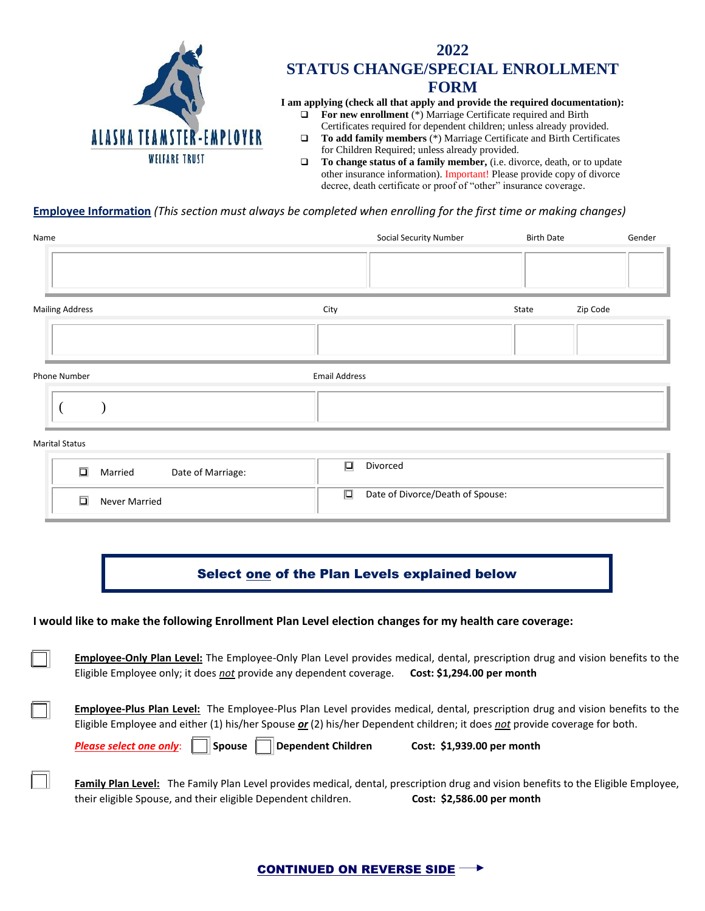

# **2022 STATUS CHANGE/SPECIAL ENROLLMENT FORM**

**I am applying (check all that apply and provide the required documentation):**

- ❑ **For new enrollment** (\*) Marriage Certificate required and Birth Certificates required for dependent children; unless already provided.
- ❑ **To add family members** (\*) Marriage Certificate and Birth Certificates for Children Required; unless already provided.
- ❑ **To change status of a family member,** (i.e. divorce, death, or to update other insurance information). Important! Please provide copy of divorce decree, death certificate or proof of "other" insurance coverage.

### **Employee Information** *(This section must always be completed when enrolling for the first time or making changes)*

| Name                   | <b>Social Security Number</b> | <b>Birth Date</b> | Gender   |
|------------------------|-------------------------------|-------------------|----------|
|                        |                               |                   |          |
| <b>Mailing Address</b> | City                          | State             | Zip Code |
|                        |                               |                   |          |
| Phone Number           | <b>Email Address</b>          |                   |          |
|                        |                               |                   |          |

#### Marital Status

| n.<br>Date of Marriage:<br>Married | Divorced<br>. .                  |
|------------------------------------|----------------------------------|
| n.                                 | Date of Divorce/Death of Spouse: |
| Never Married                      | ▯                                |

## Select one of the Plan Levels explained below

#### **I would like to make the following Enrollment Plan Level election changes for my health care coverage:**

**Employee-Only Plan Level:** The Employee-Only Plan Level provides medical, dental, prescription drug and vision benefits to the Eligible Employee only; it does *not* provide any dependent coverage. **Cost: \$1,294.00 per month**

**Employee-Plus Plan Level:** The Employee-Plus Plan Level provides medical, dental, prescription drug and vision benefits to the Eligible Employee and either (1) his/her Spouse *or* (2) his/her Dependent children; it does *not* provide coverage for both.

**Please select one only:** Spouse Dependent Children **Cost: \$1,939.00 per month** 

**Family Plan Level:** The Family Plan Level provides medical, dental, prescription drug and vision benefits to the Eligible Employee, their eligible Spouse, and their eligible Dependent children. **Cost: \$2,586.00 per month**

### CONTINUED ON REVERSE SIDE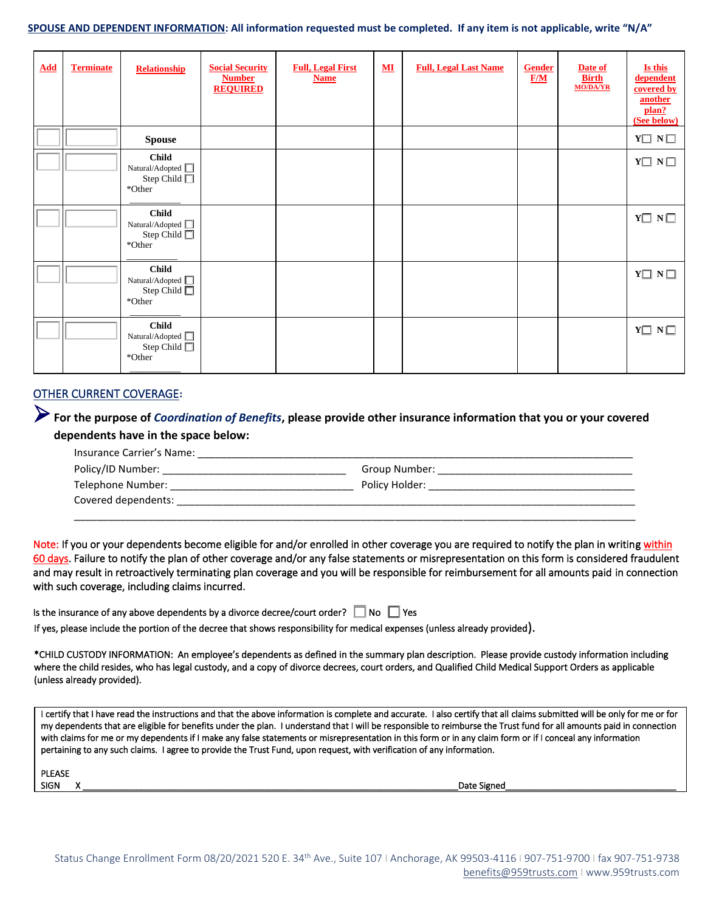#### **SPOUSE AND DEPENDENT INFORMATION: All information requested must be completed. If any item is not applicable, write "N/A"**

| <b>Add</b> | <b>Terminate</b> | <b>Relationship</b>                                                         | <b>Social Security</b><br><b>Number</b><br><b>REQUIRED</b> | <b>Full, Legal First</b><br><b>Name</b> | $\underline{\mathbf{M}}$ | <b>Full, Legal Last Name</b> | <b>Gender</b><br>F/M | Date of<br><b>Birth</b><br><b>MO/DA/YR</b> | Is this<br>dependent<br>covered by<br>another<br>plan?<br>(See below) |
|------------|------------------|-----------------------------------------------------------------------------|------------------------------------------------------------|-----------------------------------------|--------------------------|------------------------------|----------------------|--------------------------------------------|-----------------------------------------------------------------------|
|            |                  | <b>Spouse</b>                                                               |                                                            |                                         |                          |                              |                      |                                            | $Y\Box\hskip 1mm N\Box$                                               |
|            |                  | <b>Child</b><br>Natural/Adopted $\hfill\Box$<br>Step Child $\Box$<br>*Other |                                                            |                                         |                          |                              |                      |                                            | $Y \Box N \Box$                                                       |
|            |                  | <b>Child</b><br>Natural/Adopted $\Box$<br>Step Child $\Box$<br>*Other       |                                                            |                                         |                          |                              |                      |                                            | $Y \square N \square$                                                 |
|            |                  | <b>Child</b><br>Natural/Adopted $\Box$<br>Step Child $\Box$<br>*Other       |                                                            |                                         |                          |                              |                      |                                            | $Y \square N \square$                                                 |
|            |                  | <b>Child</b><br>Natural/Adopted $\Box$<br>Step Child $\Box$<br>*Other       |                                                            |                                         |                          |                              |                      |                                            | $Y \square N \square$                                                 |

### OTHER CURRENT COVERAGE**:**

## ➢**For the purpose of** *Coordination of Benefits***, please provide other insurance information that you or your covered dependents have in the space below:**

| Insurance Carrier's Name: |                |  |
|---------------------------|----------------|--|
| Policy/ID Number:         | Group Number:  |  |
| Telephone Number:         | Policy Holder: |  |
| Covered dependents:       |                |  |
|                           |                |  |

\_\_\_\_\_\_\_\_\_\_\_\_\_\_\_\_\_\_\_\_\_\_\_\_\_\_\_\_\_\_\_\_\_\_\_\_\_\_\_\_\_\_\_\_\_\_\_\_\_\_\_\_\_\_\_\_\_\_\_\_\_\_\_\_\_\_\_\_\_\_\_\_\_\_\_\_\_\_\_\_\_\_\_\_\_\_\_\_\_\_\_\_\_\_\_\_\_\_

Note: If you or your dependents become eligible for and/or enrolled in other coverage you are required to notify the plan in writing within 60 days. Failure to notify the plan of other coverage and/or any false statements or misrepresentation on this form is considered fraudulent and may result in retroactively terminating plan coverage and you will be responsible for reimbursement for all amounts paid in connection with such coverage, including claims incurred.

| Is the insurance of any above dependents by a divorce decree/court order? $\Box$ No $\Box$ Yes |  |  |  |
|------------------------------------------------------------------------------------------------|--|--|--|
|------------------------------------------------------------------------------------------------|--|--|--|

If yes, please include the portion of the decree that shows responsibility for medical expenses (unless already provided).

\*CHILD CUSTODY INFORMATION: An employee's dependents as defined in the summary plan description. Please provide custody information including where the child resides, who has legal custody, and a copy of divorce decrees, court orders, and Qualified Child Medical Support Orders as applicable (unless already provided).

I certify that I have read the instructions and that the above information is complete and accurate. I also certify that all claims submitted will be only for me or for my dependents that are eligible for benefits under the plan. I understand that I will be responsible to reimburse the Trust fund for all amounts paid in connection with claims for me or my dependents if I make any false statements or misrepresentation in this form or in any claim form or if I conceal any information pertaining to any such claims. I agree to provide the Trust Fund, upon request, with verification of any information.

| PLEASE |   |
|--------|---|
| SIGN   | ۹ |

 $\overline{a}$ 

SIGN X \_\_\_\_\_\_\_\_\_\_\_\_\_\_\_\_\_\_\_\_\_\_\_\_\_\_\_\_\_\_\_\_\_\_\_\_\_\_\_\_\_\_\_\_\_\_\_\_\_\_\_\_\_\_\_\_\_\_\_\_\_\_\_\_\_\_\_\_\_\_\_\_\_\_\_\_\_Date Signed\_\_\_\_\_\_\_\_\_\_\_\_\_\_\_\_\_\_\_\_\_\_\_\_\_\_\_\_\_\_\_\_\_\_\_